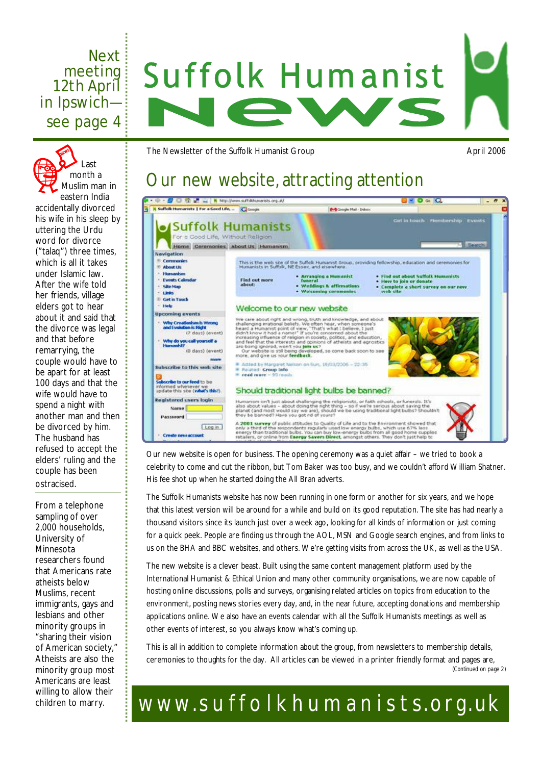# Next **Suffolk Humanist** meeting 12th April in Ipswich see page 4

The Newsletter of the Suffolk Humanist Group April 2006

# Our new website, attracting attention



Our new website is open for business. The opening ceremony was a quiet affair – we tried to book a celebrity to come and cut the ribbon, but Tom Baker was too busy, and we couldn't afford William Shatner. His fee shot up when he started doing the All Bran adverts.

The Suffolk Humanists website has now been running in one form or another for six years, and we hope that this latest version will be around for a while and build on its good reputation. The site has had nearly a thousand visitors since its launch just over a week ago, looking for all kinds of information or just coming for a quick peek. People are finding us through the AOL, MSN and Google search engines, and from links to us on the BHA and BBC websites, and others. We're getting visits from across the UK, as well as the USA.

The new website is a clever beast. Built using the same content management platform used by the International Humanist & Ethical Union and many other community organisations, we are now capable of hosting online discussions, polls and surveys, organising related articles on topics from education to the environment, posting news stories every day, and, in the near future, accepting donations and membership applications online. We also have an events calendar with all the Suffolk Humanists meetings as well as other events of interest, so you always know what's coming up.

This is all in addition to complete information about the group, from newsletters to membership details, ceremonies to thoughts for the day. All articles can be viewed in a printer friendly format and pages are, *(Continued on page 2)* 

# [www.s](http://www.suffolkhumanists.org.uk)uffolkhumanists.org.uk

Last month a Muslim man in eastern India accidentally divorced his wife in his sleep by uttering the Urdu word for divorce ("talaq") three times, which is all it takes under Islamic law. After the wife told her friends, village elders got to hear about it and said that the divorce was legal and that before remarrying, the couple would have to be apart for at least 100 days and that the wife would have to spend a night with another man and then be divorced by him. The husband has refused to accept the elders' ruling and the couple has been ostracised.

From a telephone sampling of over 2,000 households, University of Minnesota researchers found that Americans rate atheists below Muslims, recent immigrants, gays and lesbians and other minority groups in "sharing their vision of American society," Atheists are also the minority group most Americans are least willing to allow their children to marry.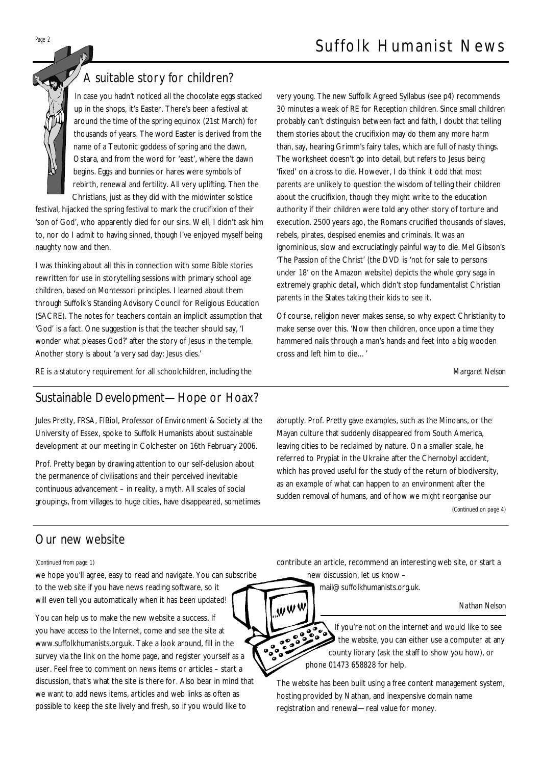

# A suitable story for children?

In case you hadn't noticed all the chocolate eggs stacked up in the shops, it's Easter. There's been a festival at around the time of the spring equinox (21st March) for thousands of years. The word Easter is derived from the name of a Teutonic goddess of spring and the dawn, Ostara, and from the word for 'east', where the dawn begins. Eggs and bunnies or hares were symbols of rebirth, renewal and fertility. All very uplifting. Then the Christians, just as they did with the midwinter solstice

festival, hijacked the spring festival to mark the crucifixion of their 'son of God', who apparently died for our sins. Well, I didn't ask him to, nor do I admit to having sinned, though I've enjoyed myself being naughty now and then.

I was thinking about all this in connection with some Bible stories rewritten for use in storytelling sessions with primary school age children, based on Montessori principles. I learned about them through Suffolk's Standing Advisory Council for Religious Education (SACRE). The notes for teachers contain an implicit assumption that 'God' is a fact. One suggestion is that the teacher should say, 'I wonder what pleases God?' after the story of Jesus in the temple. Another story is about 'a very sad day: Jesus dies.'

RE is a statutory requirement for all schoolchildren, including the

## Sustainable Development—Hope or Hoax?

Jules Pretty, FRSA, FIBiol, Professor of Environment & Society at the University of Essex, spoke to Suffolk Humanists about sustainable development at our meeting in Colchester on 16th February 2006.

Prof. Pretty began by drawing attention to our self-delusion about the permanence of civilisations and their perceived inevitable continuous advancement – in reality, a myth. All scales of social groupings, from villages to huge cities, have disappeared, sometimes very young. The new Suffolk Agreed Syllabus (see p4) recommends 30 minutes a week of RE for Reception children. Since small children probably can't distinguish between fact and faith, I doubt that telling them stories about the crucifixion may do them any more harm than, say, hearing Grimm's fairy tales, which are full of nasty things. The worksheet doesn't go into detail, but refers to Jesus being 'fixed' on a cross to die. However, I do think it odd that most parents are unlikely to question the wisdom of telling their children about the crucifixion, though they might write to the education authority if their children were told any other story of torture and execution. 2500 years ago, the Romans crucified thousands of slaves, rebels, pirates, despised enemies and criminals. It was an ignominious, slow and excruciatingly painful way to die. Mel Gibson's 'The Passion of the Christ' (the DVD is 'not for sale to persons under 18' on the Amazon website) depicts the whole gory saga in extremely graphic detail, which didn't stop fundamentalist Christian parents in the States taking their kids to see it.

Of course, religion never makes sense, so why expect Christianity to make sense over this. 'Now then children, once upon a time they hammered nails through a man's hands and feet into a big wooden cross and left him to die…'

*Margaret Nelson* 

abruptly. Prof. Pretty gave examples, such as the Minoans, or the Mayan culture that suddenly disappeared from South America, leaving cities to be reclaimed by nature. On a smaller scale, he referred to Prypiat in the Ukraine after the Chernobyl accident, which has proved useful for the study of the return of biodiversity, as an example of what can happen to an environment after the sudden removal of humans, and of how we might reorganise our *(Continued on page 4)* 

## Our new website

*(Continued from page 1)* 

we hope you'll agree, easy to read and navigate. You can subscribe to the web site if you have news reading software, so it will even tell you automatically when it has been updated!

You can help us to make the new website a success. If you have access to the Internet, come and see the site at [www.suffolkhumanists.org.uk](http://www.suffolkhumanists.org.uk). Take a look around, fill in the survey via the link on the home page, and register yourself as a user. Feel free to comment on news items or articles – start a discussion, that's what the site is there for. Also bear in mind that we want to add news items, articles and web links as often as possible to keep the site lively and fresh, so if you would like to

contribute an article, recommend an interesting web site, or start a new discussion, let us know –

[mail@suffolkhumanists.org.uk.](mailto:mail@suffolkhumanists.org.uk)

www

#### *Nathan Nelson*

 $\sum_{\mathbf{p}_a\bullet}$ If you're not on the internet and would like to see the website, you can either use a computer at any county library (ask the staff to show you how), or phone 01473 658828 for help.

The website has been built using a free content management system, hosting provided by Nathan, and inexpensive domain name registration and renewal—real value for money.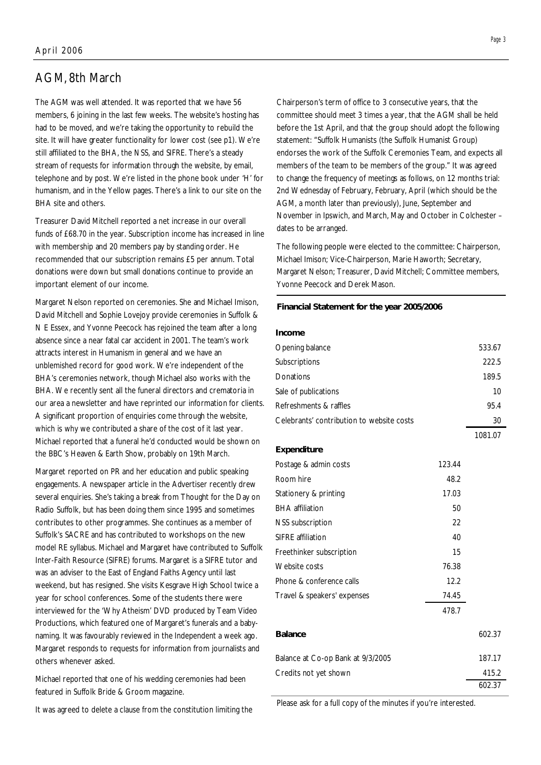## AGM, 8th March

The AGM was well attended. It was reported that we have 56 members, 6 joining in the last few weeks. The website's hosting has had to be moved, and we're taking the opportunity to rebuild the site. It will have greater functionality for lower cost (see p1). We're still affiliated to the BHA, the NSS, and SIFRE. There's a steady stream of requests for information through the website, by email, telephone and by post. We're listed in the phone book under 'H' for humanism, and in the Yellow pages. There's a link to our site on the BHA site and others.

Treasurer David Mitchell reported a net increase in our overall funds of £68.70 in the year. Subscription income has increased in line with membership and 20 members pay by standing order. He recommended that our subscription remains £5 per annum. Total donations were down but small donations continue to provide an important element of our income.

Margaret Nelson reported on ceremonies. She and Michael Imison, David Mitchell and Sophie Lovejoy provide ceremonies in Suffolk & N E Essex, and Yvonne Peecock has rejoined the team after a long absence since a near fatal car accident in 2001. The team's work attracts interest in Humanism in general and we have an unblemished record for good work. We're independent of the BHA's ceremonies network, though Michael also works with the BHA. We recently sent all the funeral directors and crematoria in our area a newsletter and have reprinted our information for clients. A significant proportion of enquiries come through the website, which is why we contributed a share of the cost of it last year. Michael reported that a funeral he'd conducted would be shown on the BBC's Heaven & Earth Show, probably on 19th March.

Margaret reported on PR and her education and public speaking engagements. A newspaper article in the Advertiser recently drew several enquiries. She's taking a break from Thought for the Day on Radio Suffolk, but has been doing them since 1995 and sometimes contributes to other programmes. She continues as a member of Suffolk's SACRE and has contributed to workshops on the new model RE syllabus. Michael and Margaret have contributed to Suffolk Inter-Faith Resource (SIFRE) forums. Margaret is a SIFRE tutor and was an adviser to the East of England Faiths Agency until last weekend, but has resigned. She visits Kesgrave High School twice a year for school conferences. Some of the students there were interviewed for the 'Why Atheism' DVD produced by Team Video Productions, which featured one of Margaret's funerals and a babynaming. It was favourably reviewed in the Independent a week ago. Margaret responds to requests for information from journalists and others whenever asked.

Michael reported that one of his wedding ceremonies had been featured in Suffolk Bride & Groom magazine.

It was agreed to delete a clause from the constitution limiting the

Chairperson's term of office to 3 consecutive years, that the committee should meet 3 times a year, that the AGM shall be held before the 1st April, and that the group should adopt the following statement: "Suffolk Humanists (the Suffolk Humanist Group) endorses the work of the Suffolk Ceremonies Team, and expects all members of the team to be members of the group." It was agreed to change the frequency of meetings as follows, on 12 months trial: 2nd Wednesday of February, February, April (which should be the AGM, a month later than previously), June, September and November in Ipswich, and March, May and October in Colchester – dates to be arranged.

The following people were elected to the committee: Chairperson, Michael Imison; Vice-Chairperson, Marie Haworth; Secretary, Margaret Nelson; Treasurer, David Mitchell; Committee members, Yvonne Peecock and Derek Mason.

#### **Financial Statement for the year 2005/2006**

| Income                                    |        |         |
|-------------------------------------------|--------|---------|
| Opening balance                           |        | 533.67  |
| Subscriptions                             |        | 222.5   |
| Donations                                 |        | 189.5   |
| Sale of publications                      |        | 10      |
| Refreshments & raffles                    |        | 95.4    |
| Celebrants' contribution to website costs |        | 30      |
|                                           |        | 1081.07 |
| Expenditure                               |        |         |
| Postage & admin costs                     | 123.44 |         |
| Room hire                                 | 48.2   |         |
| Stationery & printing                     | 17.03  |         |
| <b>BHA</b> affiliation                    | 50     |         |
| <b>NSS</b> subscription                   | 22     |         |
| SIFRE affiliation                         | 40     |         |
| Freethinker subscription                  | 15     |         |
| Website costs                             | 76.38  |         |
| Phone & conference calls                  | 12.2   |         |
| Travel & speakers' expenses               | 74.45  |         |
|                                           | 478.7  |         |
| <b>Balance</b>                            |        | 602.37  |
| Balance at Co-op Bank at 9/3/2005         |        | 187.17  |
| Credits not yet shown                     |        | 415.2   |
|                                           |        | 602.37  |

Please ask for a full copy of the minutes if you're interested.